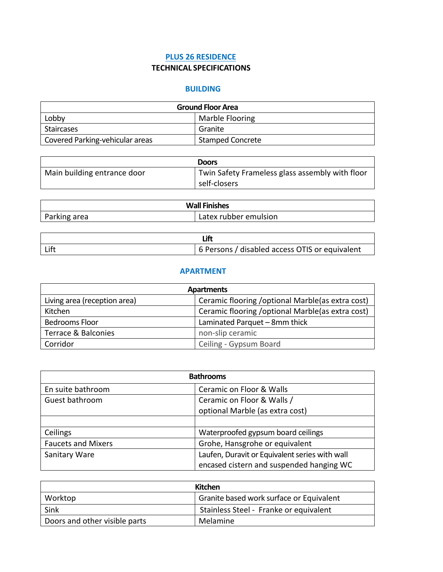## **PLUS 26 RESIDENCE TECHNICAL SPECIFICATIONS**

## **BUILDING**

| <b>Ground Floor Area</b>        |                         |
|---------------------------------|-------------------------|
| Lobby                           | Marble Flooring         |
| Staircases                      | Granite                 |
| Covered Parking-vehicular areas | <b>Stamped Concrete</b> |

|                             | <b>Doors</b>                                                    |
|-----------------------------|-----------------------------------------------------------------|
| Main building entrance door | Twin Safety Frameless glass assembly with floor<br>self-closers |

| <b>Wall Finishes</b> |                       |
|----------------------|-----------------------|
| Parking area         | Latex rubber emulsion |

|  | 6 Persons / disabled access OTIS or equivalent |
|--|------------------------------------------------|

## **APARTMENT**

| <b>Apartments</b>            |                                                    |
|------------------------------|----------------------------------------------------|
| Living area (reception area) | Ceramic flooring / optional Marble (as extra cost) |
| Kitchen                      | Ceramic flooring / optional Marble (as extra cost) |
| Bedrooms Floor               | Laminated Parquet - 8mm thick                      |
| Terrace & Balconies          | non-slip ceramic                                   |
| Corridor                     | Ceiling - Gypsum Board                             |

| <b>Bathrooms</b>          |                                                |
|---------------------------|------------------------------------------------|
| En suite bathroom         | Ceramic on Floor & Walls                       |
| Guest bathroom            | Ceramic on Floor & Walls /                     |
|                           | optional Marble (as extra cost)                |
|                           |                                                |
| Ceilings                  | Waterproofed gypsum board ceilings             |
| <b>Faucets and Mixers</b> | Grohe, Hansgrohe or equivalent                 |
| Sanitary Ware             | Laufen, Duravit or Equivalent series with wall |
|                           | encased cistern and suspended hanging WC       |

| Kitchen                       |                                          |
|-------------------------------|------------------------------------------|
| Worktop                       | Granite based work surface or Equivalent |
| Sink                          | Stainless Steel - Franke or equivalent   |
| Doors and other visible parts | Melamine                                 |